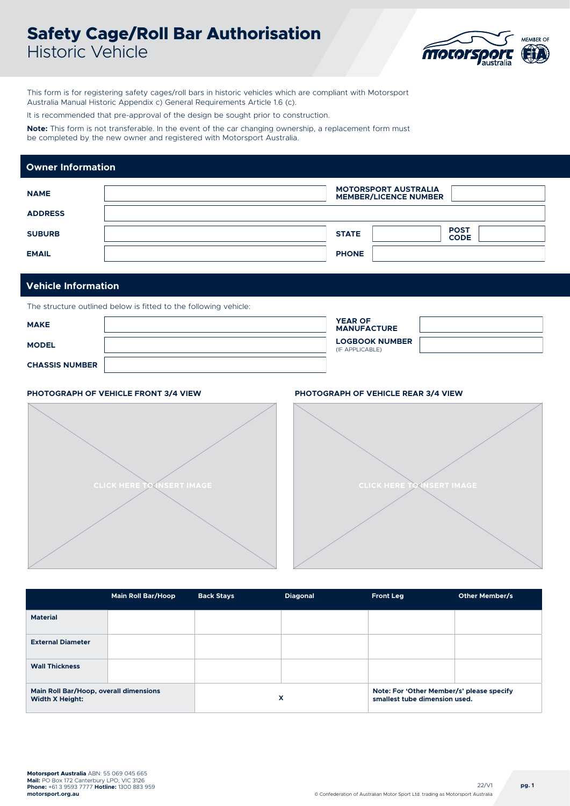# **Safety Cage/Roll Bar Authorisation**  Historic Vehicle



This form is for registering safety cages/roll bars in historic vehicles which are compliant with Motorsport Australia Manual Historic Appendix c) General Requirements Article 1.6 (c).

It is recommended that pre-approval of the design be sought prior to construction.

**Note:** This form is not transferable. In the event of the car changing ownership, a replacement form must be completed by the new owner and registered with Motorsport Australia.

### **MOTORSPORT AUSTRALIA MEMBER/LICENCE NUMBER NAME ADDRESS STATE PHONE POST CODE SUBURB EMAIL Owner Information**

### **Vehicle Information**

The structure outlined below is fitted to the following vehicle:

| <b>MAKE</b>           | <b>YEAR OF</b><br><b>MANUFACTURE</b>     |  |
|-----------------------|------------------------------------------|--|
| <b>MODEL</b>          | <b>LOGBOOK NUMBER</b><br>(IF APPLICABLE) |  |
| <b>CHASSIS NUMBER</b> |                                          |  |

### **PHOTOGRAPH OF VEHICLE FRONT 3/4 VIEW PHOTOGRAPH OF VEHICLE REAR 3/4 VIEW**





|                                                                  | <b>Main Roll Bar/Hoop</b> | <b>Back Stays</b> | <b>Diagonal</b> | <b>Front Leg</b>                                                           | Other Member/s |
|------------------------------------------------------------------|---------------------------|-------------------|-----------------|----------------------------------------------------------------------------|----------------|
| <b>Material</b>                                                  |                           |                   |                 |                                                                            |                |
| <b>External Diameter</b>                                         |                           |                   |                 |                                                                            |                |
| <b>Wall Thickness</b>                                            |                           |                   |                 |                                                                            |                |
| Main Roll Bar/Hoop, overall dimensions<br><b>Width X Height:</b> |                           |                   | x               | Note: For 'Other Member/s' please specify<br>smallest tube dimension used. |                |

22/V1